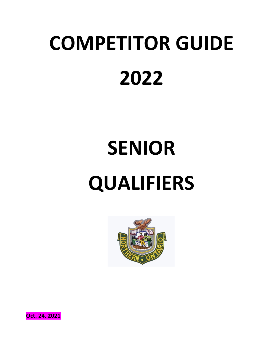# **COMPETITOR GUIDE 2022**

# **SENIOR QUALIFIERS**



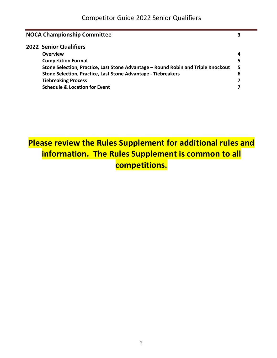|  | <b>NOCA Championship Committee</b>                                                |   |
|--|-----------------------------------------------------------------------------------|---|
|  | <b>2022 Senior Qualifiers</b>                                                     |   |
|  | <b>Overview</b>                                                                   | 4 |
|  | <b>Competition Format</b>                                                         | 5 |
|  | Stone Selection, Practice, Last Stone Advantage - Round Robin and Triple Knockout | 5 |
|  | Stone Selection, Practice, Last Stone Advantage - Tiebreakers                     | 6 |
|  | <b>Tiebreaking Process</b>                                                        |   |
|  | <b>Schedule &amp; Location for Event</b>                                          |   |

## **Please review the Rules Supplement for additional rules and information. The Rules Supplement is common to all competitions.**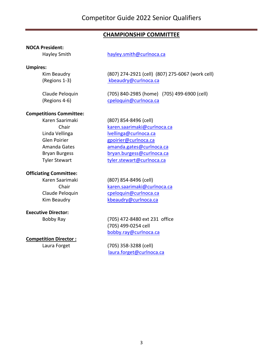### **CHAMPIONSHIP COMMITTEE**

#### **NOCA President:**

#### **Umpires:**

Hayley Smith hayley.smith@curlnoca.ca

Kim Beaudry (807) 274-2921 (cell) (807) 275-6067 (work cell) (Regions 1-3) kbeaudry@curlnoca.ca

Claude Peloquin (705) 840-2985 (home) (705) 499-6900 (cell) (Regions 4-6) cpeloquin@curlnoca.ca

#### **Competitions Committee:**

Karen Saarimaki (807) 854-8496 (cell)

#### **Officiating Committee:**

#### **Executive Director:**

#### **Competition Director :**

Chair karen.saarimaki@curlnoca.ca

Linda Vellinga **luellinga@curlnoca.ca** Glen Poirier entry appoirier@curlnoca.ca Amanda Gates amanda.gates@curlnoca.ca Bryan Burgess bryan.burgess@curlnoca.ca Tyler Stewart tyler.stewart@curlnoca.ca

Karen Saarimaki (807) 854-8496 (cell) Chair karen.saarimaki@curlnoca.ca Claude Peloquin cpeloquin@curlnoca.ca Kim Beaudry **Kanadry Kbeaudry@curlnoca.ca** 

Bobby Ray (705) 472-8480 ext 231 office (705) 499-0254 cell bobby.ray@curlnoca.ca

Laura Forget (705) 358-3288 (cell) laura.forget@curlnoca.ca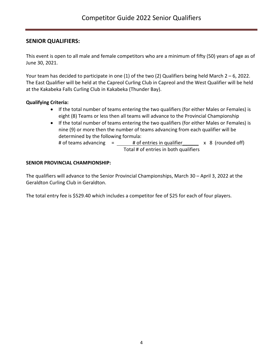#### **SENIOR QUALIFIERS:**

This event is open to all male and female competitors who are a minimum of fifty (50) years of age as of June 30, 2021.

Your team has decided to participate in one (1) of the two (2) Qualifiers being held March  $2 - 6$ , 2022. The East Qualifier will be held at the Capreol Curling Club in Capreol and the West Qualifier will be held at the Kakabeka Falls Curling Club in Kakabeka (Thunder Bay).

#### **Qualifying Criteria:**

- If the total number of teams entering the two qualifiers (for either Males or Females) is eight (8) Teams or less then all teams will advance to the Provincial Championship
- If the total number of teams entering the two qualifiers (for either Males or Females) is nine (9) or more then the number of teams advancing from each qualifier will be determined by the following formula: # of teams advancing  $=$   $\frac{40}{100}$  +  $\frac{40}{100}$  =  $\frac{40}{100}$  =  $\frac{40}{100}$  =  $\frac{40}{100}$  =  $\frac{40}{100}$  =  $\frac{40}{100}$  =  $\frac{40}{100}$  =  $\frac{40}{100}$  =  $\frac{40}{100}$  =  $\frac{40}{100}$  =  $\frac{40}{100}$  =  $\frac{40}{100}$  = Total # of entries in both qualifiers

#### **SENIOR PROVINCIAL CHAMPIONSHIP:**

The qualifiers will advance to the Senior Provincial Championships, March 30 – April 3, 2022 at the Geraldton Curling Club in Geraldton.

The total entry fee is \$529.40 which includes a competitor fee of \$25 for each of four players.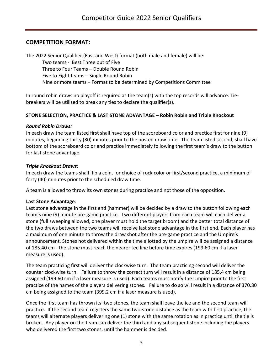#### **COMPETITION FORMAT:**

The 2022 Senior Qualifier (East and West) format (both male and female) will be:

Two teams - Best Three out of Five Three to Four Teams – Double Round Robin Five to Eight teams – Single Round Robin Nine or more teams – Format to be determined by Competitions Committee

In round robin draws no playoff is required as the team(s) with the top records will advance. Tiebreakers will be utilized to break any ties to declare the qualifier(s).

#### **STONE SELECTION, PRACTICE & LAST STONE ADVANTAGE – Robin Robin and Triple Knockout**

#### *Round Robin Draws:*

In each draw the team listed first shall have top of the scoreboard color and practice first for nine (9) minutes, beginning thirty (30) minutes prior to the posted draw time. The team listed second, shall have bottom of the scoreboard color and practice immediately following the first team's draw to the button for last stone advantage.

#### *Triple Knockout Draws:*

In each draw the teams shall flip a coin, for choice of rock color or first/second practice, a minimum of forty (40) minutes prior to the scheduled draw time*.*

A team is allowed to throw its own stones during practice and not those of the opposition.

#### **Last Stone Advantage**:

Last stone advantage in the first end (hammer) will be decided by a draw to the button following each team's nine (9) minute pre-game practice. Two different players from each team will each deliver a stone (full sweeping allowed, one player must hold the target broom) and the better total distance of the two draws between the two teams will receive last stone advantage in the first end. Each player has a maximum of one minute to throw the draw shot after the pre-game practice and the Umpire's announcement. Stones not delivered within the time allotted by the umpire will be assigned a distance of 185.40 cm - the stone must reach the nearer tee line before time expires (199.60 cm if a laser measure is used).

The team practicing first will deliver the clockwise turn. The team practicing second will deliver the counter clockwise turn. Failure to throw the correct turn will result in a distance of 185.4 cm being assigned (199.60 cm if a laser measure is used). Each teams must notify the Umpire prior to the first practice of the names of the players delivering stones. Failure to do so will result in a distance of 370.80 cm being assigned to the team (399.2 cm if a laser measure is used).

Once the first team has thrown its' two stones, the team shall leave the ice and the second team will practice. If the second team registers the same two-stone distance as the team with first practice, the teams will alternate players delivering one (1) stone with the same rotation as in practice until the tie is broken. Any player on the team can deliver the third and any subsequent stone including the players who delivered the first two stones, until the hammer is decided.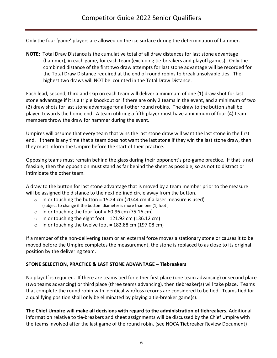Only the four 'game' players are allowed on the ice surface during the determination of hammer.

**NOTE:** Total Draw Distance is the cumulative total of all draw distances for last stone advantage (hammer), in each game, for each team (excluding tie-breakers and playoff games). Only the combined distance of the first two draw attempts for last stone advantage will be recorded for the Total Draw Distance required at the end of round robins to break unsolvable ties. The highest two draws will NOT be counted in the Total Draw Distance.

Each lead, second, third and skip on each team will deliver a minimum of one (1) draw shot for last stone advantage if it is a triple knockout or if there are only 2 teams in the event, and a minimum of two (2) draw shots for last stone advantage for all other round robins. The draw to the button shall be played towards the home end. A team utilizing a fifth player must have a minimum of four (4) team members throw the draw for hammer during the event.

Umpires will assume that every team that wins the last stone draw will want the last stone in the first end. If there is any time that a team does not want the last stone if they win the last stone draw, then they must inform the Umpire before the start of their practice.

Opposing teams must remain behind the glass during their opponent's pre-game practice. If that is not feasible, then the opposition must stand as far behind the sheet as possible, so as not to distract or intimidate the other team.

A draw to the button for last stone advantage that is moved by a team member prior to the measure will be assigned the distance to the next defined circle away from the button.

- $\circ$  In or touching the button = 15.24 cm (20.44 cm if a laser measure is used) (subject to change if the bottom diameter is more than one (1) foot )
- $\circ$  In or touching the four foot = 60.96 cm (75.16 cm)
- o In or touching the eight foot =  $121.92$  cm ( $136.12$  cm)
- o In or touching the twelve foot =  $182.88$  cm (197.08 cm)

If a member of the non-delivering team or an external force moves a stationary stone or causes it to be moved before the Umpire completes the measurement, the stone is replaced to as close to its original position by the delivering team.

#### **STONE SELECTION, PRACTICE & LAST STONE ADVANTAGE – Tiebreakers**

No playoff is required. If there are teams tied for either first place (one team advancing) or second place (two teams advancing) or third place (three teams advancing), then tiebreaker(s) will take place. Teams that complete the round robin with identical win/loss records are considered to be tied. Teams tied for a qualifying position shall only be eliminated by playing a tie-breaker game(s).

**The Chief Umpire will make all decisions with regard to the administration of tiebreakers.** Additional information relative to tie-breakers and sheet assignments will be discussed by the Chief Umpire with the teams involved after the last game of the round robin. (see NOCA Tiebreaker Review Document)